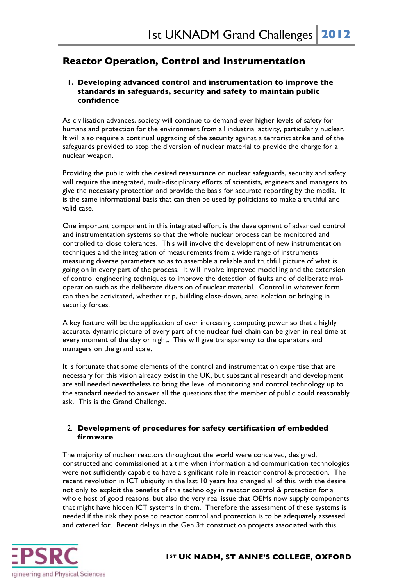# **Reactor Operation, Control and Instrumentation**

## **1. Developing advanced control and instrumentation to improve the standards in safeguards, security and safety to maintain public confidence**

As civilisation advances, society will continue to demand ever higher levels of safety for humans and protection for the environment from all industrial activity, particularly nuclear. It will also require a continual upgrading of the security against a terrorist strike and of the safeguards provided to stop the diversion of nuclear material to provide the charge for a nuclear weapon.

Providing the public with the desired reassurance on nuclear safeguards, security and safety will require the integrated, multi-disciplinary efforts of scientists, engineers and managers to give the necessary protection and provide the basis for accurate reporting by the media. It is the same informational basis that can then be used by politicians to make a truthful and valid case.

One important component in this integrated effort is the development of advanced control and instrumentation systems so that the whole nuclear process can be monitored and controlled to close tolerances. This will involve the development of new instrumentation techniques and the integration of measurements from a wide range of instruments measuring diverse parameters so as to assemble a reliable and truthful picture of what is going on in every part of the process. It will involve improved modelling and the extension of control engineering techniques to improve the detection of faults and of deliberate maloperation such as the deliberate diversion of nuclear material. Control in whatever form can then be activitated, whether trip, building close-down, area isolation or bringing in security forces.

A key feature will be the application of ever increasing computing power so that a highly accurate, dynamic picture of every part of the nuclear fuel chain can be given in real time at every moment of the day or night. This will give transparency to the operators and managers on the grand scale.

It is fortunate that some elements of the control and instrumentation expertise that are necessary for this vision already exist in the UK, but substantial research and development are still needed nevertheless to bring the level of monitoring and control technology up to the standard needed to answer all the questions that the member of public could reasonably ask. This is the Grand Challenge.

### 2. **Development of procedures for safety certification of embedded firmware**

The majority of nuclear reactors throughout the world were conceived, designed, constructed and commissioned at a time when information and communication technologies were not sufficiently capable to have a significant role in reactor control & protection. The recent revolution in ICT ubiquity in the last 10 years has changed all of this, with the desire not only to exploit the benefits of this technology in reactor control & protection for a whole host of good reasons, but also the very real issue that OEMs now supply components that might have hidden ICT systems in them. Therefore the assessment of these systems is needed if the risk they pose to reactor control and protection is to be adequately assessed and catered for. Recent delays in the Gen 3+ construction projects associated with this

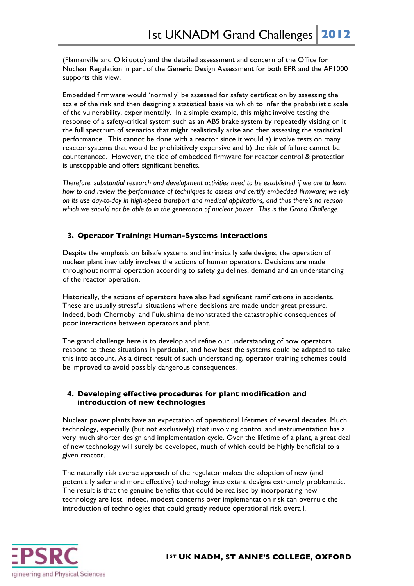(Flamanville and Olkiluoto) and the detailed assessment and concern of the Office for Nuclear Regulation in part of the Generic Design Assessment for both EPR and the AP1000 supports this view.

Embedded firmware would 'normally' be assessed for safety certification by assessing the scale of the risk and then designing a statistical basis via which to infer the probabilistic scale of the vulnerability, experimentally. In a simple example, this might involve testing the response of a safety-critical system such as an ABS brake system by repeatedly visiting on it the full spectrum of scenarios that might realistically arise and then assessing the statistical performance. This cannot be done with a reactor since it would a) involve tests on many reactor systems that would be prohibitively expensive and b) the risk of failure cannot be countenanced. However, the tide of embedded firmware for reactor control & protection is unstoppable and offers significant benefits.

*Therefore, substantial research and development activities need to be established if we are to learn how to and review the performance of techniques to assess and certify embedded firmware; we rely on its use day-to-day in high-speed transport and medical applications, and thus there's no reason which we should not be able to in the generation of nuclear power. This is the Grand Challenge.*

### **3. Operator Training: Human-Systems Interactions**

Despite the emphasis on failsafe systems and intrinsically safe designs, the operation of nuclear plant inevitably involves the actions of human operators. Decisions are made throughout normal operation according to safety guidelines, demand and an understanding of the reactor operation.

Historically, the actions of operators have also had significant ramifications in accidents. These are usually stressful situations where decisions are made under great pressure. Indeed, both Chernobyl and Fukushima demonstrated the catastrophic consequences of poor interactions between operators and plant.

The grand challenge here is to develop and refine our understanding of how operators respond to these situations in particular, and how best the systems could be adapted to take this into account. As a direct result of such understanding, operator training schemes could be improved to avoid possibly dangerous consequences.

### **4. Developing effective procedures for plant modification and introduction of new technologies**

Nuclear power plants have an expectation of operational lifetimes of several decades. Much technology, especially (but not exclusively) that involving control and instrumentation has a very much shorter design and implementation cycle. Over the lifetime of a plant, a great deal of new technology will surely be developed, much of which could be highly beneficial to a given reactor.

The naturally risk averse approach of the regulator makes the adoption of new (and potentially safer and more effective) technology into extant designs extremely problematic. The result is that the genuine benefits that could be realised by incorporating new technology are lost. Indeed, modest concerns over implementation risk can overrule the introduction of technologies that could greatly reduce operational risk overall.